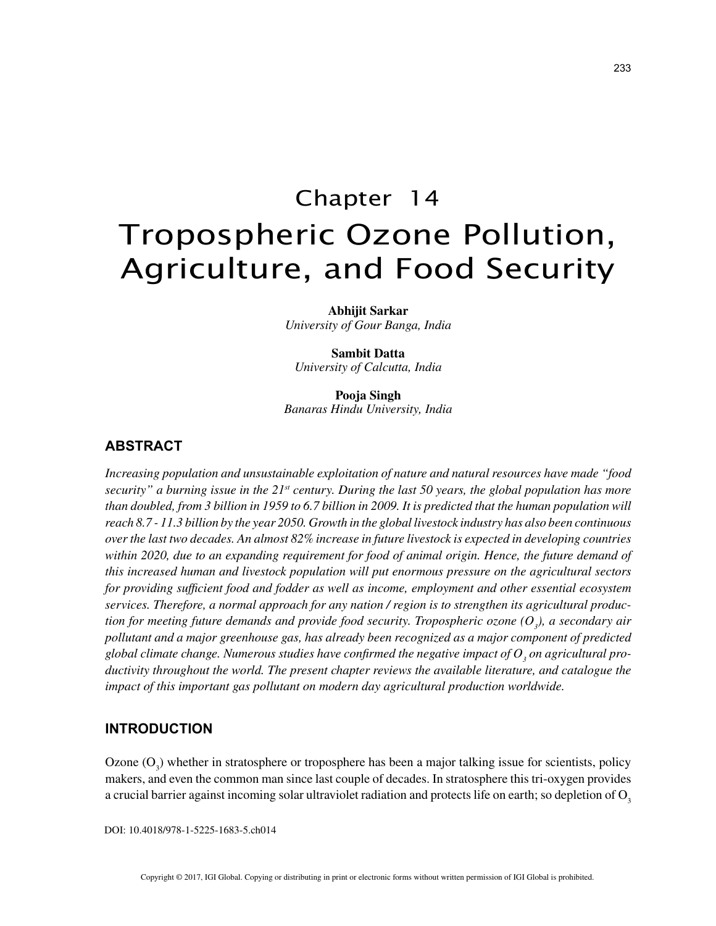# Chapter 14 Tropospheric Ozone Pollution, Agriculture, and Food Security

**Abhijit Sarkar** *University of Gour Banga, India*

**Sambit Datta** *University of Calcutta, India*

**Pooja Singh** *Banaras Hindu University, India*

#### **ABSTRACT**

*Increasing population and unsustainable exploitation of nature and natural resources have made "food security" a burning issue in the 21st century. During the last 50 years, the global population has more than doubled, from 3 billion in 1959 to 6.7 billion in 2009. It is predicted that the human population will reach 8.7 - 11.3 billion by the year 2050. Growth in the global livestock industry has also been continuous over the last two decades. An almost 82% increase in future livestock is expected in developing countries within 2020, due to an expanding requirement for food of animal origin. Hence, the future demand of this increased human and livestock population will put enormous pressure on the agricultural sectors for providing sufficient food and fodder as well as income, employment and other essential ecosystem services. Therefore, a normal approach for any nation / region is to strengthen its agricultural produc*tion for meeting future demands and provide food security. Tropospheric ozone  $(O_{\iota})$ , a secondary air *pollutant and a major greenhouse gas, has already been recognized as a major component of predicted*  global climate change. Numerous studies have confirmed the negative impact of  $O_{_3}$  on agricultural pro*ductivity throughout the world. The present chapter reviews the available literature, and catalogue the impact of this important gas pollutant on modern day agricultural production worldwide.*

#### **INTRODUCTION**

Ozone  $(O_3)$  whether in stratosphere or troposphere has been a major talking issue for scientists, policy makers, and even the common man since last couple of decades. In stratosphere this tri-oxygen provides a crucial barrier against incoming solar ultraviolet radiation and protects life on earth; so depletion of  $O<sub>3</sub>$ 

DOI: 10.4018/978-1-5225-1683-5.ch014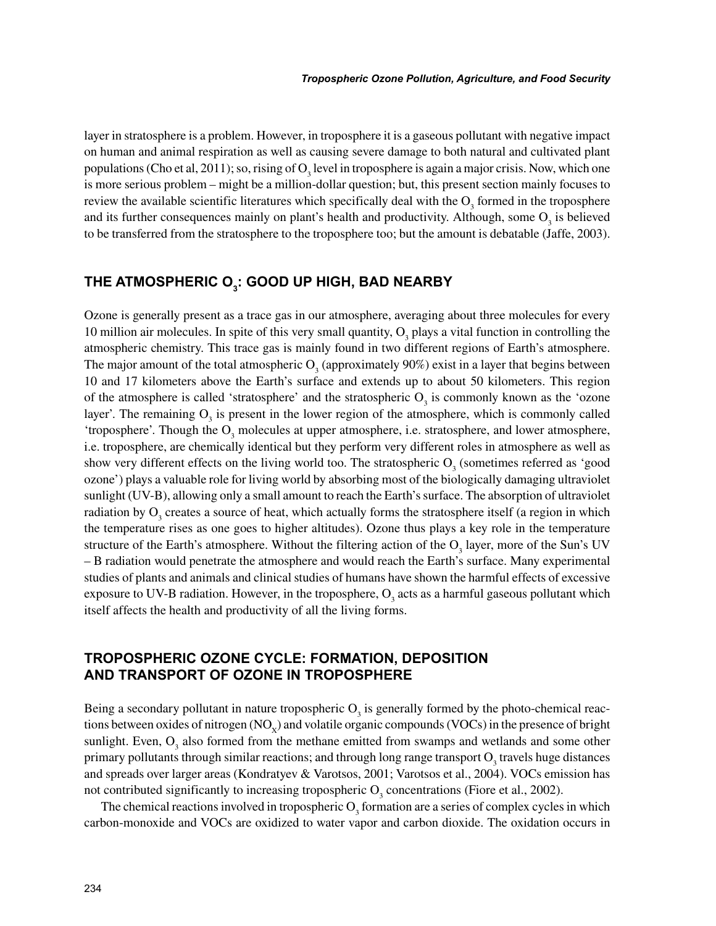layer in stratosphere is a problem. However, in troposphere it is a gaseous pollutant with negative impact on human and animal respiration as well as causing severe damage to both natural and cultivated plant populations (Cho et al, 2011); so, rising of  $O_3$  level in troposphere is again a major crisis. Now, which one is more serious problem – might be a million-dollar question; but, this present section mainly focuses to review the available scientific literatures which specifically deal with the  $O_3$  formed in the troposphere and its further consequences mainly on plant's health and productivity. Although, some  $O_3$  is believed to be transferred from the stratosphere to the troposphere too; but the amount is debatable (Jaffe, 2003).

# **THE ATMOSPHERIC O3 : GOOD UP HIGH, BAD NEARBY**

Ozone is generally present as a trace gas in our atmosphere, averaging about three molecules for every 10 million air molecules. In spite of this very small quantity,  $O_3$  plays a vital function in controlling the atmospheric chemistry. This trace gas is mainly found in two different regions of Earth's atmosphere. The major amount of the total atmospheric  $O_3$  (approximately 90%) exist in a layer that begins between 10 and 17 kilometers above the Earth's surface and extends up to about 50 kilometers. This region of the atmosphere is called 'stratosphere' and the stratospheric  $O_3$  is commonly known as the 'ozone' layer'. The remaining  $O_3$  is present in the lower region of the atmosphere, which is commonly called 'troposphere'. Though the  $O_3$  molecules at upper atmosphere, i.e. stratosphere, and lower atmosphere, i.e. troposphere, are chemically identical but they perform very different roles in atmosphere as well as show very different effects on the living world too. The stratospheric  $O_3$  (sometimes referred as 'good ozone') plays a valuable role for living world by absorbing most of the biologically damaging ultraviolet sunlight (UV-B), allowing only a small amount to reach the Earth's surface. The absorption of ultraviolet radiation by  $O_3$  creates a source of heat, which actually forms the stratosphere itself (a region in which the temperature rises as one goes to higher altitudes). Ozone thus plays a key role in the temperature structure of the Earth's atmosphere. Without the filtering action of the  $O_3$  layer, more of the Sun's UV – B radiation would penetrate the atmosphere and would reach the Earth's surface. Many experimental studies of plants and animals and clinical studies of humans have shown the harmful effects of excessive exposure to UV-B radiation. However, in the troposphere,  $O_3$  acts as a harmful gaseous pollutant which itself affects the health and productivity of all the living forms.

#### **TROPOSPHERIC OZONE CYCLE: FORMATION, DEPOSITION AND TRANSPORT OF OZONE IN TROPOSPHERE**

Being a secondary pollutant in nature tropospheric  $O_3$  is generally formed by the photo-chemical reactions between oxides of nitrogen  $(NO_x)$  and volatile organic compounds  $(VOCs)$  in the presence of bright sunlight. Even,  $O_3$  also formed from the methane emitted from swamps and wetlands and some other primary pollutants through similar reactions; and through long range transport  $O_3$  travels huge distances and spreads over larger areas (Kondratyev & Varotsos, 2001; Varotsos et al., 2004). VOCs emission has not contributed significantly to increasing tropospheric  $O_3$  concentrations (Fiore et al., 2002).

The chemical reactions involved in tropospheric  $O_3$  formation are a series of complex cycles in which carbon-monoxide and VOCs are oxidized to water vapor and carbon dioxide. The oxidation occurs in